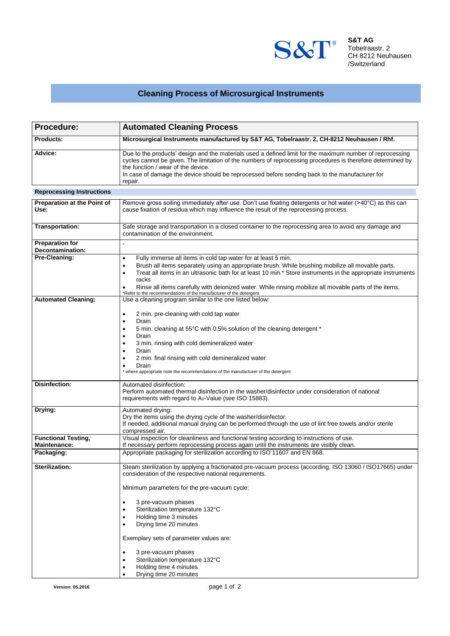

**S&T AG** Tobelraastr. 2 CH 8212 Neuhausen /Switzerland

## **Cleaning Process of Microsurgical Instruments**

| Procedure:                                        | <b>Automated Cleaning Process</b>                                                                                                                                                                                                                                                                                                                                                                                                                                                                                       |  |  |
|---------------------------------------------------|-------------------------------------------------------------------------------------------------------------------------------------------------------------------------------------------------------------------------------------------------------------------------------------------------------------------------------------------------------------------------------------------------------------------------------------------------------------------------------------------------------------------------|--|--|
| <b>Products:</b>                                  | Microsurgical Instruments manufactured by S&T AG, Tobelraastr. 2, CH-8212 Neuhausen / Rhf.                                                                                                                                                                                                                                                                                                                                                                                                                              |  |  |
| Advice:                                           | Due to the products' design and the materials used a defined limit for the maximum number of reprocessing<br>cycles cannot be given. The limitation of the numbers of reprocessing procedures is therefore determined by<br>the function / wear of the device.<br>In case of damage the device should be reprocessed before sending back to the manufacturer for<br>repair.                                                                                                                                             |  |  |
| <b>Reprocessing Instructions</b>                  |                                                                                                                                                                                                                                                                                                                                                                                                                                                                                                                         |  |  |
| Preparation at the Point of<br>Use:               | Remove gross soiling immediately after use. Don't use fixating detergents or hot water (>40 $\degree$ C) as this can<br>cause fixation of residua which may influence the result of the reprocessing process.                                                                                                                                                                                                                                                                                                           |  |  |
| Transportation:                                   | Safe storage and transportation in a closed container to the reprocessing area to avoid any damage and<br>contamination of the environment.                                                                                                                                                                                                                                                                                                                                                                             |  |  |
| <b>Preparation for</b><br><b>Decontamination:</b> |                                                                                                                                                                                                                                                                                                                                                                                                                                                                                                                         |  |  |
| Pre-Cleaning:                                     | Fully immerse all items in cold tap water for at least 5 min.<br>٠<br>Brush all items separately using an appropriate brush. While brushing mobilize all movable parts.<br>$\bullet$<br>Treat all items in an ultrasonic bath for at least 10 min.* Store instruments in the appropriate instruments<br>$\bullet$<br>racks<br>Rinse all items carefully with deionized water. While rinsing mobilize all movable parts of the items.<br>$\bullet$<br>*Refer to the recommendations of the manufacturer of the detergent |  |  |
| <b>Automated Cleaning:</b>                        | Use a cleaning program similar to the one listed below:                                                                                                                                                                                                                                                                                                                                                                                                                                                                 |  |  |
|                                                   | 2 min. pre-cleaning with cold tap water<br>$\bullet$<br>Drain<br>٠<br>5 min. cleaning at 55°C with 0.5% solution of the cleaning detergent *<br>$\bullet$<br>Drain<br>$\bullet$<br>3 min. rinsing with cold demineralized water<br>$\bullet$<br>Drain<br>2 min. final rinsing with cold demineralized water<br>Drain<br>$\bullet$<br>* where appropriate note the recommendations of the manufacturer of the detergent                                                                                                  |  |  |
| Disinfection:                                     | Automated disinfection:<br>Perform automated thermal disinfection in the washer/disinfector under consideration of national                                                                                                                                                                                                                                                                                                                                                                                             |  |  |
|                                                   | requirements with regard to A <sub>0</sub> -Value (see ISO 15883).                                                                                                                                                                                                                                                                                                                                                                                                                                                      |  |  |
| Drying:                                           | Automated drying:<br>Dry the items using the drying cycle of the washer/disinfector.<br>If needed, additional manual drying can be performed through the use of lint free towels and/or sterile<br>compressed air.                                                                                                                                                                                                                                                                                                      |  |  |
| <b>Functional Testing,</b><br>Maintenance:        | Visual inspection for cleanliness and functional testing according to instructions of use.<br>If necessary perform reprocessing process again until the instruments are visibly clean.                                                                                                                                                                                                                                                                                                                                  |  |  |
| Packaging:                                        | Appropriate packaging for sterilization according to ISO 11607 and EN 868.                                                                                                                                                                                                                                                                                                                                                                                                                                              |  |  |
| Sterilization:                                    | Steam sterilization by applying a fractionated pre-vacuum process (according. ISO 13060 / ISO17665) under<br>consideration of the respective national requirements.<br>Minimum parameters for the pre-vacuum cycle:<br>3 pre-vacuum phases<br>$\bullet$<br>Sterilization temperature 132°C<br>Holding time 3 minutes<br>$\bullet$<br>Drying time 20 minutes<br>٠<br>Exemplary sets of parameter values are:<br>3 pre-vacuum phases<br>٠<br>Sterilization temperature 132°C<br>Holding time 4 minutes<br>$\bullet$       |  |  |
|                                                   | Drying time 20 minutes                                                                                                                                                                                                                                                                                                                                                                                                                                                                                                  |  |  |